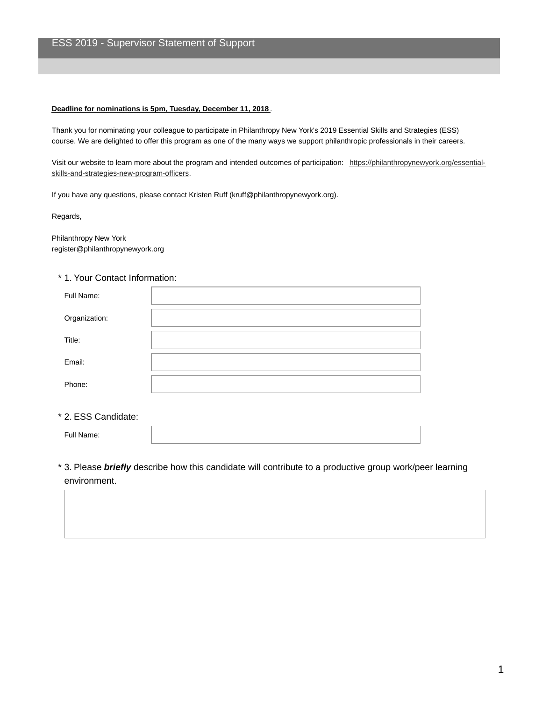## **Deadline for nominations is 5pm, Tuesday, December 11, 2018** .

Thank you for nominating your colleague to participate in Philanthropy New York's 2019 Essential Skills and Strategies (ESS) course. We are delighted to offer this program as one of the many ways we support philanthropic professionals in their careers.

Visit our website to learn more about the program and intended outcomes of participation: [https://philanthropynewyork.org/essential](https://philanthropynewyork.org/essential-skills-and-strategies-new-program-officers)skills-and-strategies-new-program-officers.

If you have any questions, please contact Kristen Ruff (kruff@philanthropynewyork.org).

Regards,

Philanthropy New York register@philanthropynewyork.org

## \* 1. Your Contact Information:

| Full Name:    |  |
|---------------|--|
| Organization: |  |
| Title:        |  |
| Email:        |  |
| Phone:        |  |

## \* 2. ESS Candidate:

Full Name:

3. Please *briefly* describe how this candidate will contribute to a productive group work/peer learning \* environment.